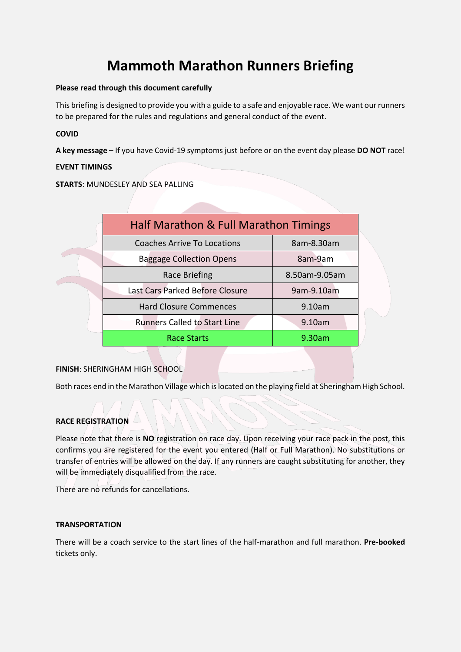# **Mammoth Marathon Runners Briefing**

# **Please read through this document carefully**

This briefing is designed to provide you with a guide to a safe and enjoyable race. We want our runners to be prepared for the rules and regulations and general conduct of the event.

# **COVID**

**A key message** – If you have Covid-19 symptoms just before or on the event day please **DO NOT** race!

# **EVENT TIMINGS**

**STARTS**: MUNDESLEY AND SEA PALLING

| Half Marathon & Full Marathon Timings |               |
|---------------------------------------|---------------|
| <b>Coaches Arrive To Locations</b>    | 8am-8.30am    |
| <b>Baggage Collection Opens</b>       | 8am-9am       |
| Race Briefing                         | 8.50am-9.05am |
| Last Cars Parked Before Closure       | 9am-9.10am    |
| <b>Hard Closure Commences</b>         | 9.10am        |
| <b>Runners Called to Start Line</b>   | 9.10am        |
| Race Starts                           | 9.30am        |
|                                       |               |

# **FINISH**: SHERINGHAM HIGH SCHOOL

Both races end in the Marathon Village which is located on the playing field at Sheringham High School.

# **RACE REGISTRATION**

Please note that there is **NO** registration on race day. Upon receiving your race pack in the post, this confirms you are registered for the event you entered (Half or Full Marathon). No substitutions or transfer of entries will be allowed on the day. If any runners are caught substituting for another, they will be immediately disqualified from the race.

There are no refunds for cancellations.

# **TRANSPORTATION**

There will be a coach service to the start lines of the half-marathon and full marathon. **Pre-booked** tickets only.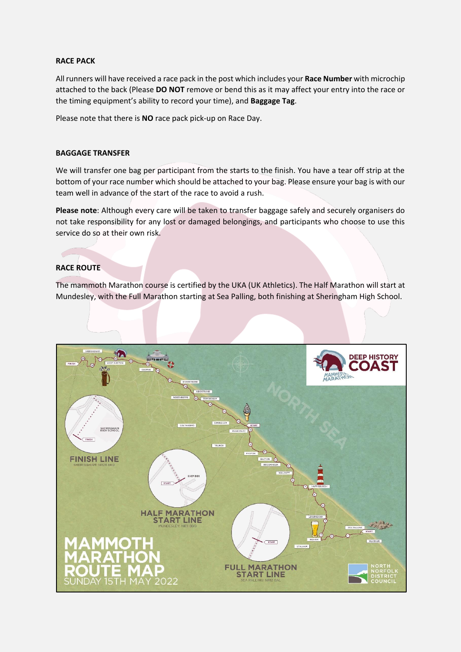# **RACE PACK**

All runners will have received a race pack in the post which includes your **Race Number** with microchip attached to the back (Please **DO NOT** remove or bend this as it may affect your entry into the race or the timing equipment's ability to record your time), and **Baggage Tag**.

Please note that there is **NO** race pack pick-up on Race Day.

#### **BAGGAGE TRANSFER**

We will transfer one bag per participant from the starts to the finish. You have a tear off strip at the bottom of your race number which should be attached to your bag. Please ensure your bag is with our team well in advance of the start of the race to avoid a rush.

**Please note**: Although every care will be taken to transfer baggage safely and securely organisers do not take responsibility for any lost or damaged belongings, and participants who choose to use this service do so at their own risk.

# **RACE ROUTE**

The mammoth Marathon course is certified by the UKA (UK Athletics). The Half Marathon will start at Mundesley, with the Full Marathon starting at Sea Palling, both finishing at Sheringham High School.

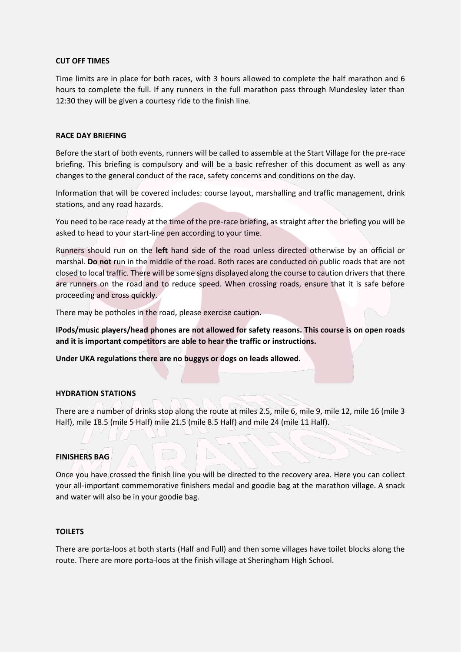#### **CUT OFF TIMES**

Time limits are in place for both races, with 3 hours allowed to complete the half marathon and 6 hours to complete the full. If any runners in the full marathon pass through Mundesley later than 12:30 they will be given a courtesy ride to the finish line.

#### **RACE DAY BRIEFING**

Before the start of both events, runners will be called to assemble at the Start Village for the pre-race briefing. This briefing is compulsory and will be a basic refresher of this document as well as any changes to the general conduct of the race, safety concerns and conditions on the day.

Information that will be covered includes: course layout, marshalling and traffic management, drink stations, and any road hazards.

You need to be race ready at the time of the pre-race briefing, as straight after the briefing you will be asked to head to your start-line pen according to your time.

Runners should run on the **left** hand side of the road unless directed otherwise by an official or marshal. **Do not** run in the middle of the road. Both races are conducted on public roads that are not closed to local traffic. There will be some signs displayed along the course to caution drivers that there are runners on the road and to reduce speed. When crossing roads, ensure that it is safe before proceeding and cross quickly.

There may be potholes in the road, please exercise caution.

**IPods/music players/head phones are not allowed for safety reasons. This course is on open roads and it is important competitors are able to hear the traffic or instructions.**

**Under UKA regulations there are no buggys or dogs on leads allowed.**

#### **HYDRATION STATIONS**

There are a number of drinks stop along the route at miles 2.5, mile 6, mile 9, mile 12, mile 16 (mile 3 Half), mile 18.5 (mile 5 Half) mile 21.5 (mile 8.5 Half) and mile 24 (mile 11 Half).

#### **FINISHERS BAG**

Once you have crossed the finish line you will be directed to the recovery area. Here you can collect your all-important commemorative finishers medal and goodie bag at the marathon village. A snack and water will also be in your goodie bag.

#### **TOILETS**

There are porta-loos at both starts (Half and Full) and then some villages have toilet blocks along the route. There are more porta-loos at the finish village at Sheringham High School.